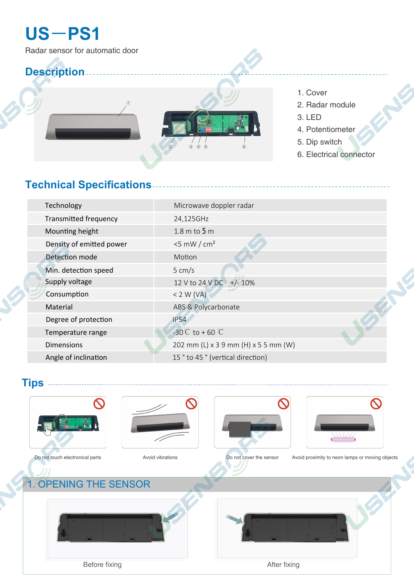## **US**-**PS1**

## **Description**

## **Technical Specifications**

| Technology                   | Microwave doppler radar              |  |
|------------------------------|--------------------------------------|--|
| <b>Transmitted frequency</b> | 24,125GHz                            |  |
| Mounting height              | $1.8 \text{ m}$ to $5 \text{ m}$     |  |
| Density of emitted power     | $<$ 5 mW / cm <sup>2</sup>           |  |
| Detection mode               | Motion                               |  |
| Min. detection speed         | $5 \, \text{cm/s}$                   |  |
| Supply voltage               | 12 V to 24 V DC +/-10%               |  |
| Consumption                  | $<$ 2 W (VA)                         |  |
| Material                     | ABS & Polycarbonate                  |  |
| Degree of protection         | <b>IP54</b>                          |  |
| Temperature range            | $-30^{\circ}C$ to +60 $\circ C$      |  |
| <b>Dimensions</b>            | 202 mm (L) x 3 9 mm (H) x 5 5 mm (W) |  |
| Angle of inclination         | 15 ° to 45 ° (vertical direction)    |  |
|                              |                                      |  |

**Tips**









- 1. Cover
- 2. Radar module
- 3. LED
- 4. Potentiometer
- 5. Dip switch
- 6. Electrical connector



Radar sensor for automatic door